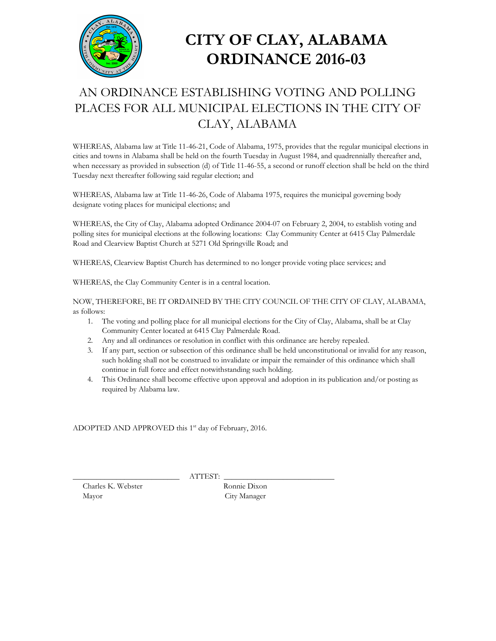

## **CITY OF CLAY, ALABAMA ORDINANCE 2016-03**

## AN ORDINANCE ESTABLISHING VOTING AND POLLING PLACES FOR ALL MUNICIPAL ELECTIONS IN THE CITY OF CLAY, ALABAMA

WHEREAS, Alabama law at Title 11-46-21, Code of Alabama, 1975, provides that the regular municipal elections in cities and towns in Alabama shall be held on the fourth Tuesday in August 1984, and quadrennially thereafter and, when necessary as provided in subsection (d) of Title 11-46-55, a second or runoff election shall be held on the third Tuesday next thereafter following said regular election; and

WHEREAS, Alabama law at Title 11-46-26, Code of Alabama 1975, requires the municipal governing body designate voting places for municipal elections; and

WHEREAS, the City of Clay, Alabama adopted Ordinance 2004-07 on February 2, 2004, to establish voting and polling sites for municipal elections at the following locations: Clay Community Center at 6415 Clay Palmerdale Road and Clearview Baptist Church at 5271 Old Springville Road; and

WHEREAS, Clearview Baptist Church has determined to no longer provide voting place services; and

WHEREAS, the Clay Community Center is in a central location.

NOW, THEREFORE, BE IT ORDAINED BY THE CITY COUNCIL OF THE CITY OF CLAY, ALABAMA, as follows:

- 1. The voting and polling place for all municipal elections for the City of Clay, Alabama, shall be at Clay Community Center located at 6415 Clay Palmerdale Road.
- 2. Any and all ordinances or resolution in conflict with this ordinance are hereby repealed.
- 3. If any part, section or subsection of this ordinance shall be held unconstitutional or invalid for any reason, such holding shall not be construed to invalidate or impair the remainder of this ordinance which shall continue in full force and effect notwithstanding such holding.
- 4. This Ordinance shall become effective upon approval and adoption in its publication and/or posting as required by Alabama law.

ADOPTED AND APPROVED this 1 st day of February, 2016.

Charles K. Webster Ronnie Dixon Mayor City Manager

\_\_\_\_\_\_\_\_\_\_\_\_\_\_\_\_\_\_\_\_\_\_\_\_\_\_\_ ATTEST: \_\_\_\_\_\_\_\_\_\_\_\_\_\_\_\_\_\_\_\_\_\_\_\_\_\_\_\_